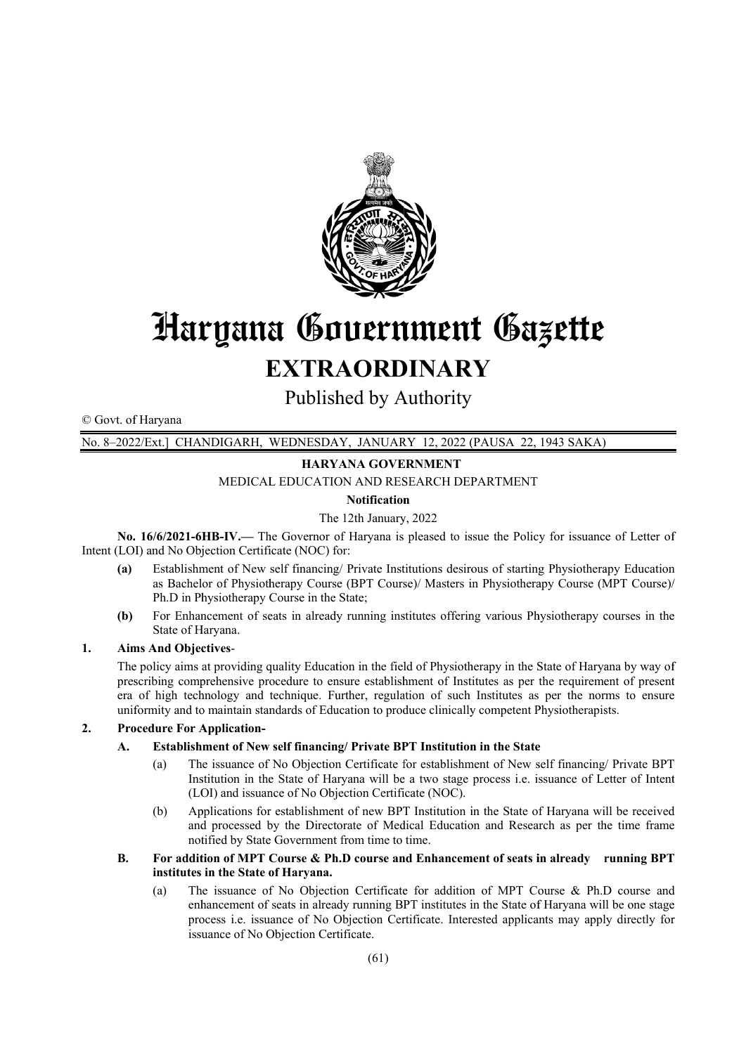

# Haryana Government Gazette **EXTRAORDINARY**

Published by Authority

© Govt. of f Haryana

No. 8–202 2/Ext.] CHAN NDIGARH, W Published by Authority<br>WEDNESDAY, JANUARY 12, 2022 (PAUSA 22, 1943 SAKA)

#### **HARYANA GOVERNMENT**

MEDICAL EDUCATION AND RESEARCH DEPARTMENT

#### **Notification n**

#### The 12th January, 2022

No. 16/6/2021-6HB-IV.— The Governor of Haryana is pleased to issue the Policy for issuance of Letter of Intent (LOI) and No Objection Certificate (NOC) for:

- **(a)** Establishment of New self financing/ Private Institutions desirous of starting Physiotherapy Education as Bachelor of Physiotherapy Course (BPT Course)/ Masters in Physiotherapy Course (MPT Course)/ Ph.D in Physiotherapy Course in the State;
- **(b)** For Enhancement of seats in already running institutes offering various Physiotherapy courses in the State of H Haryana.

#### 1. **Aims And Objectives-**

The policy aims at providing quality Education in the field of Physiotherapy in the State of Haryana by way of prescribing comprehensive procedure to ensure establishment of Institutes as per the requirement of present era of high technology and technique. Further, regulation of such Institutes as per the norms to ensure uniformity and to maintain standards of Education to produce clinically competent Physiotherapists. of<br>on<br>i)/<br>neftert<br>T<br>T<br>T<br>nted

#### 2. Procedure For Application-

#### **A. Establishment of New self financing/ Private BPT Institution in the State**

- (a) The issuance of No Objection Certificate for establishment of New self financing/ Private BPT Institution in the State of Haryana will be a two stage process i.e. issuance of Letter of Intent (LOI) and issuance of No Objection Certificate (NOC).
- $(b)$ and processed by the Directorate of Medical Education and Research as per the time frame notified by State Government from time to time. pplications for establishment of new BPT Institution in the State of Haryana will be received

#### **B.** For addition of MPT Course & Ph.D course and Enhancement of seats in already running BPT institutes in the State of Haryana.

(a) The issuance of No Objection Certificate for addition of MPT Course & Ph.D course and enhancement of seats in already running BPT institutes in the State of Haryana will be one stage process i.e. issuance of No Objection Certificate. Interested applicants may apply directly for issuance of No Objection Certificate. d<br>eg<br>or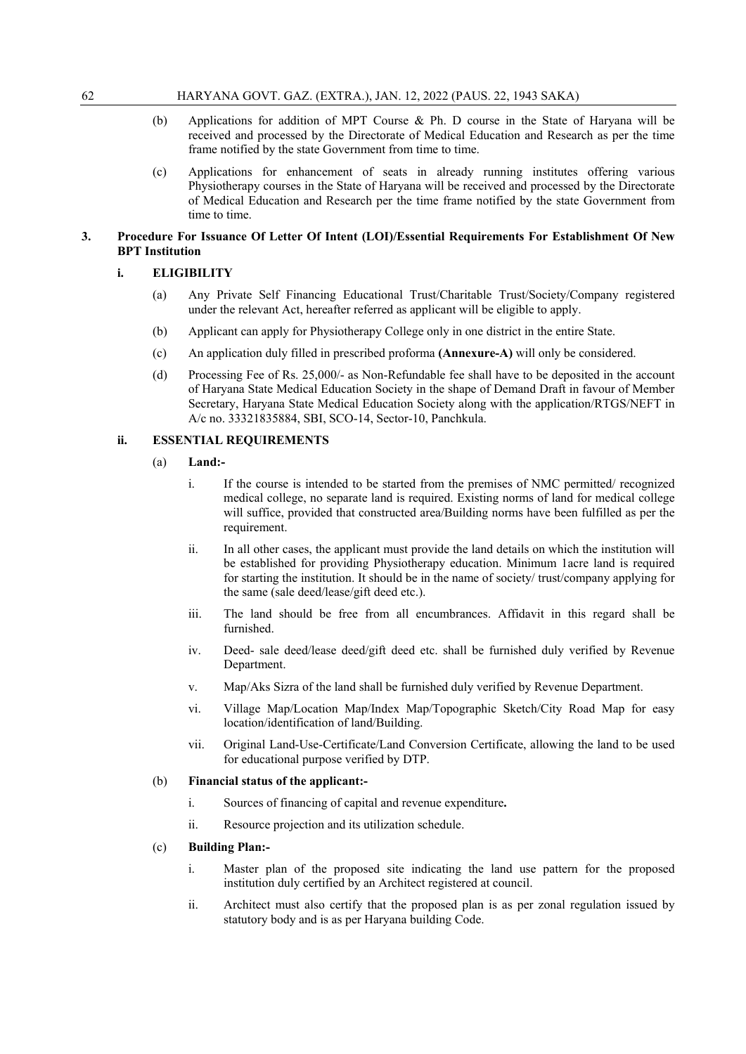- (b) Applications for addition of MPT Course & Ph. D course in the State of Haryana will be received and processed by the Directorate of Medical Education and Research as per the time frame notified by the state Government from time to time.
- (c) Applications for enhancement of seats in already running institutes offering various Physiotherapy courses in the State of Haryana will be received and processed by the Directorate of Medical Education and Research per the time frame notified by the state Government from time to time.

#### **3. Procedure For Issuance Of Letter Of Intent (LOI)/Essential Requirements For Establishment Of New BPT Institution**

#### **i. ELIGIBILITY**

- (a) Any Private Self Financing Educational Trust/Charitable Trust/Society/Company registered under the relevant Act, hereafter referred as applicant will be eligible to apply.
- (b) Applicant can apply for Physiotherapy College only in one district in the entire State.
- (c) An application duly filled in prescribed proforma **(Annexure-A)** will only be considered.
- (d) Processing Fee of Rs. 25,000/- as Non-Refundable fee shall have to be deposited in the account of Haryana State Medical Education Society in the shape of Demand Draft in favour of Member Secretary, Haryana State Medical Education Society along with the application/RTGS/NEFT in A/c no. 33321835884, SBI, SCO-14, Sector-10, Panchkula.

#### **ii. ESSENTIAL REQUIREMENTS**

- (a) **Land:**
	- i. If the course is intended to be started from the premises of NMC permitted/ recognized medical college, no separate land is required. Existing norms of land for medical college will suffice, provided that constructed area/Building norms have been fulfilled as per the requirement.
	- ii. In all other cases, the applicant must provide the land details on which the institution will be established for providing Physiotherapy education. Minimum 1acre land is required for starting the institution. It should be in the name of society/ trust/company applying for the same (sale deed/lease/gift deed etc.).
	- iii. The land should be free from all encumbrances. Affidavit in this regard shall be furnished.
	- iv. Deed- sale deed/lease deed/gift deed etc. shall be furnished duly verified by Revenue Department.
	- v. Map/Aks Sizra of the land shall be furnished duly verified by Revenue Department.
	- vi. Village Map/Location Map/Index Map/Topographic Sketch/City Road Map for easy location/identification of land/Building.
	- vii. Original Land-Use-Certificate/Land Conversion Certificate, allowing the land to be used for educational purpose verified by DTP.

#### (b) **Financial status of the applicant:-**

- i. Sources of financing of capital and revenue expenditure**.**
- ii. Resource projection and its utilization schedule.

#### (c) **Building Plan:-**

- i. Master plan of the proposed site indicating the land use pattern for the proposed institution duly certified by an Architect registered at council.
- ii. Architect must also certify that the proposed plan is as per zonal regulation issued by statutory body and is as per Haryana building Code.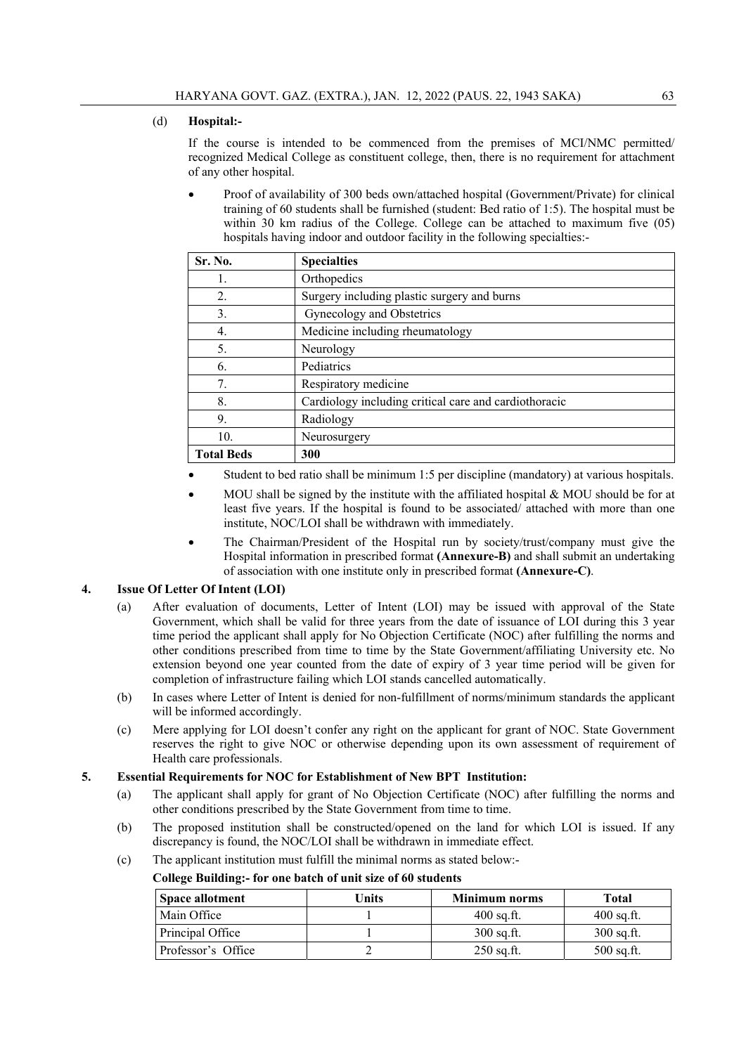#### (d) **Hospital:-**

If the course is intended to be commenced from the premises of MCI/NMC permitted/ recognized Medical College as constituent college, then, there is no requirement for attachment of any other hospital.

 Proof of availability of 300 beds own/attached hospital (Government/Private) for clinical training of 60 students shall be furnished (student: Bed ratio of 1:5). The hospital must be within 30 km radius of the College. College can be attached to maximum five (05) hospitals having indoor and outdoor facility in the following specialties:-

| Sr. No.           | <b>Specialties</b>                                    |
|-------------------|-------------------------------------------------------|
|                   | Orthopedics                                           |
| 2.                | Surgery including plastic surgery and burns           |
| 3.                | Gynecology and Obstetrics                             |
| 4.                | Medicine including rheumatology                       |
| 5.                | Neurology                                             |
| 6.                | Pediatrics                                            |
| 7.                | Respiratory medicine                                  |
| 8.                | Cardiology including critical care and cardiothoracic |
| 9.                | Radiology                                             |
| 10.               | Neurosurgery                                          |
| <b>Total Beds</b> | 300                                                   |

- Student to bed ratio shall be minimum 1:5 per discipline (mandatory) at various hospitals.
- MOU shall be signed by the institute with the affiliated hospital & MOU should be for at least five years. If the hospital is found to be associated/ attached with more than one institute, NOC/LOI shall be withdrawn with immediately.
- The Chairman/President of the Hospital run by society/trust/company must give the Hospital information in prescribed format **(Annexure-B)** and shall submit an undertaking of association with one institute only in prescribed format **(Annexure-C)**.

#### **4. Issue Of Letter Of Intent (LOI)**

- (a) After evaluation of documents, Letter of Intent (LOI) may be issued with approval of the State Government, which shall be valid for three years from the date of issuance of LOI during this 3 year time period the applicant shall apply for No Objection Certificate (NOC) after fulfilling the norms and other conditions prescribed from time to time by the State Government/affiliating University etc. No extension beyond one year counted from the date of expiry of 3 year time period will be given for completion of infrastructure failing which LOI stands cancelled automatically.
- (b) In cases where Letter of Intent is denied for non-fulfillment of norms/minimum standards the applicant will be informed accordingly.
- (c) Mere applying for LOI doesn't confer any right on the applicant for grant of NOC. State Government reserves the right to give NOC or otherwise depending upon its own assessment of requirement of Health care professionals.

#### **5. Essential Requirements for NOC for Establishment of New BPT Institution:**

- (a) The applicant shall apply for grant of No Objection Certificate (NOC) after fulfilling the norms and other conditions prescribed by the State Government from time to time.
- (b) The proposed institution shall be constructed/opened on the land for which LOI is issued. If any discrepancy is found, the NOC/LOI shall be withdrawn in immediate effect.
- (c) The applicant institution must fulfill the minimal norms as stated below:-

#### **College Building:- for one batch of unit size of 60 students**

| <b>Space allotment</b> | Units | Minimum norms | Total        |
|------------------------|-------|---------------|--------------|
| Main Office            |       | $400$ sq.ft.  | $400$ sq.ft. |
| Principal Office       |       | $300$ sq.ft.  | $300$ sq.ft. |
| Professor's Office     |       | $250$ sq.ft.  | $500$ sq.ft. |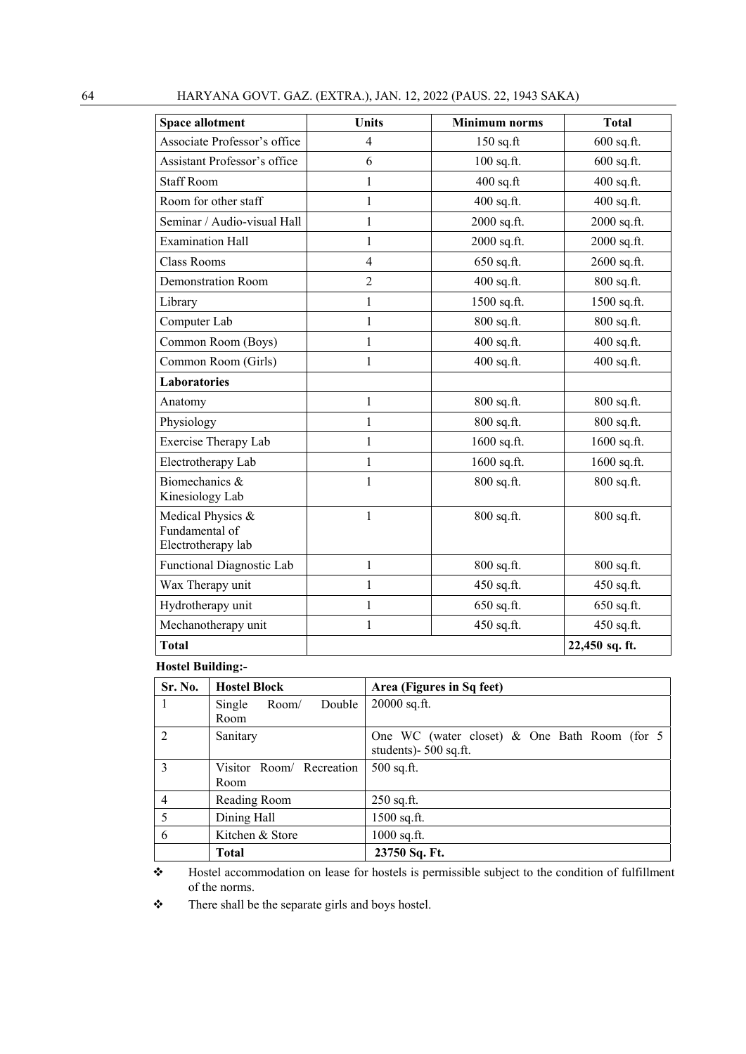| HARYANA GOVT, GAZ, (EXTRA.), JAN, 12, 2022 (PAUS, 22, 1943 SAKA)<br>64 |
|------------------------------------------------------------------------|
|------------------------------------------------------------------------|

| <b>Space allotment</b>                                    | <b>Units</b>   | <b>Minimum</b> norms | <b>Total</b>   |  |  |
|-----------------------------------------------------------|----------------|----------------------|----------------|--|--|
| Associate Professor's office                              | $\overline{4}$ | 150 sq.ft            | 600 sq.ft.     |  |  |
| Assistant Professor's office                              | 6              | 100 sq.ft.           | 600 sq.ft.     |  |  |
| <b>Staff Room</b>                                         | 1              | $400$ sq.ft          | 400 sq.ft.     |  |  |
| Room for other staff                                      | 1              | 400 sq.ft.           | 400 sq.ft.     |  |  |
| Seminar / Audio-visual Hall                               | 1              | 2000 sq.ft.          | 2000 sq.ft.    |  |  |
| <b>Examination Hall</b>                                   | 1              | 2000 sq.ft.          | 2000 sq.ft.    |  |  |
| <b>Class Rooms</b>                                        | $\overline{4}$ | 650 sq.ft.           | 2600 sq.ft.    |  |  |
| <b>Demonstration Room</b>                                 | $\overline{2}$ | 400 sq.ft.           | 800 sq.ft.     |  |  |
| Library                                                   | $\mathbf{1}$   | 1500 sq.ft.          | 1500 sq.ft.    |  |  |
| Computer Lab                                              | 1              | 800 sq.ft.           | 800 sq.ft.     |  |  |
| Common Room (Boys)                                        | $\mathbf{1}$   | 400 sq.ft.           | 400 sq.ft.     |  |  |
| Common Room (Girls)                                       | 1              | 400 sq.ft.           | 400 sq.ft.     |  |  |
| <b>Laboratories</b>                                       |                |                      |                |  |  |
| Anatomy                                                   | 1              | 800 sq.ft.           | 800 sq.ft.     |  |  |
| Physiology                                                | $\mathbf{1}$   | 800 sq.ft.           | 800 sq.ft.     |  |  |
| <b>Exercise Therapy Lab</b>                               | $\mathbf{1}$   | 1600 sq.ft.          | 1600 sq.ft.    |  |  |
| Electrotherapy Lab                                        | $\mathbf{1}$   | 1600 sq.ft.          | 1600 sq.ft.    |  |  |
| Biomechanics &<br>Kinesiology Lab                         | 1              | 800 sq.ft.           | 800 sq.ft.     |  |  |
| Medical Physics &<br>Fundamental of<br>Electrotherapy lab | $\mathbf{1}$   | 800 sq.ft.           | 800 sq.ft.     |  |  |
| Functional Diagnostic Lab                                 | $\mathbf{1}$   | 800 sq.ft.           | 800 sq.ft.     |  |  |
| Wax Therapy unit                                          | 1              | 450 sq.ft.           | 450 sq.ft.     |  |  |
| Hydrotherapy unit                                         | $\mathbf{1}$   | 650 sq.ft.           | 650 sq.ft.     |  |  |
| Mechanotherapy unit                                       | 1              | 450 sq.ft.           | 450 sq.ft.     |  |  |
| <b>Total</b>                                              |                |                      | 22,450 sq. ft. |  |  |

# **Hostel Building:-**

| Sr. No.         | <b>Hostel Block</b>       | Area (Figures in Sq feet)                       |  |  |  |  |  |  |  |  |  |  |
|-----------------|---------------------------|-------------------------------------------------|--|--|--|--|--|--|--|--|--|--|
|                 | Double<br>Single<br>Room/ | 20000 sq.ft.                                    |  |  |  |  |  |  |  |  |  |  |
|                 | Room                      |                                                 |  |  |  |  |  |  |  |  |  |  |
| $\mathcal{D}$   | Sanitary                  | One WC (water closet) $\&$ One Bath Room (for 5 |  |  |  |  |  |  |  |  |  |  |
|                 |                           | students)- 500 sq.ft.                           |  |  |  |  |  |  |  |  |  |  |
| $\mathcal{E}$   | Visitor Room/ Recreation  | $500$ sq.ft.                                    |  |  |  |  |  |  |  |  |  |  |
|                 | Room                      |                                                 |  |  |  |  |  |  |  |  |  |  |
| $\overline{4}$  | Reading Room              | $250$ sq.ft.                                    |  |  |  |  |  |  |  |  |  |  |
| $5\overline{)}$ | Dining Hall               | $1500$ sq.ft.                                   |  |  |  |  |  |  |  |  |  |  |
| 6               | Kitchen & Store           | $1000$ sq.ft.                                   |  |  |  |  |  |  |  |  |  |  |
|                 | <b>Total</b>              | 23750 Sq. Ft.                                   |  |  |  |  |  |  |  |  |  |  |

 Hostel accommodation on lease for hostels is permissible subject to the condition of fulfillment of the norms.

\* There shall be the separate girls and boys hostel.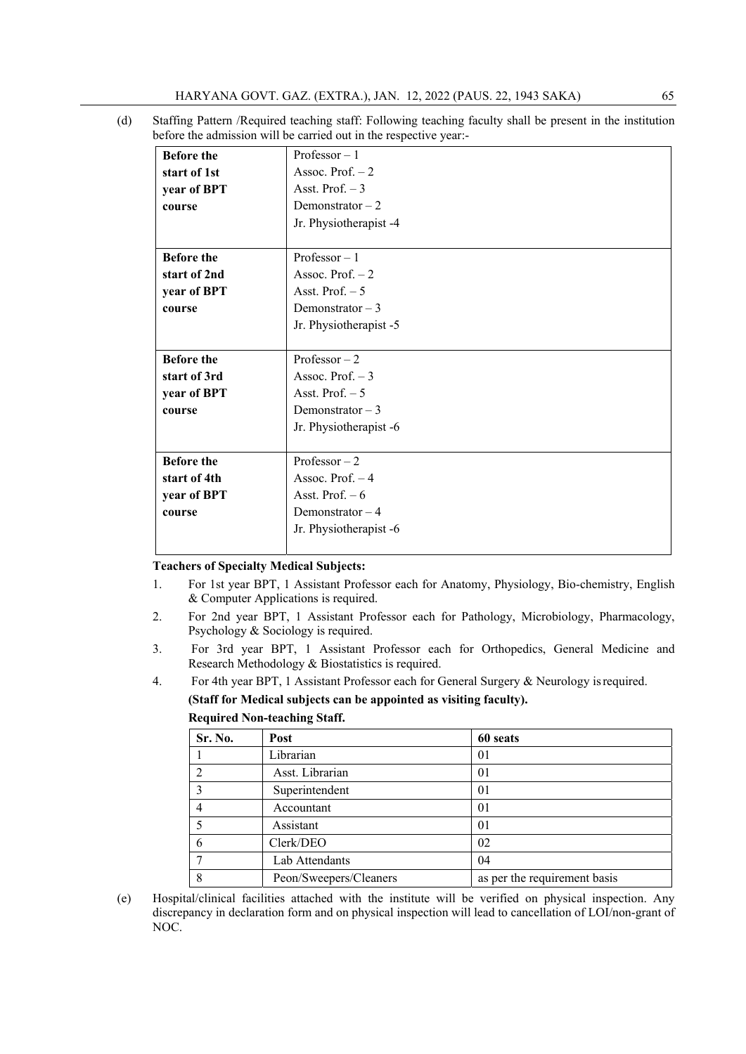(d) Staffing Pattern /Required teaching staff: Following teaching faculty shall be present in the institution before the admission will be carried out in the respective year:-

| <b>Before the</b> | Professor $-1$         |  |  |  |  |  |  |  |  |
|-------------------|------------------------|--|--|--|--|--|--|--|--|
| start of 1st      | Assoc. Prof. $-2$      |  |  |  |  |  |  |  |  |
| year of BPT       | Asst. Prof. $-3$       |  |  |  |  |  |  |  |  |
| course            | Demonstrator $-2$      |  |  |  |  |  |  |  |  |
|                   | Jr. Physiotherapist -4 |  |  |  |  |  |  |  |  |
|                   |                        |  |  |  |  |  |  |  |  |
| <b>Before the</b> | Professor $-1$         |  |  |  |  |  |  |  |  |
| start of 2nd      | Assoc. Prof. $-2$      |  |  |  |  |  |  |  |  |
| year of BPT       | Asst. Prof. $-5$       |  |  |  |  |  |  |  |  |
| course            | Demonstrator $-3$      |  |  |  |  |  |  |  |  |
|                   | Jr. Physiotherapist -5 |  |  |  |  |  |  |  |  |
|                   |                        |  |  |  |  |  |  |  |  |
| <b>Before the</b> | Professor $-2$         |  |  |  |  |  |  |  |  |
| start of 3rd      | Assoc. Prof. $-3$      |  |  |  |  |  |  |  |  |
| year of BPT       | Asst. Prof. $-5$       |  |  |  |  |  |  |  |  |
| course            | Demonstrator $-3$      |  |  |  |  |  |  |  |  |
|                   | Jr. Physiotherapist -6 |  |  |  |  |  |  |  |  |
| <b>Before the</b> | Professor $-2$         |  |  |  |  |  |  |  |  |
| start of 4th      | Assoc. Prof. $-4$      |  |  |  |  |  |  |  |  |
| year of BPT       | Asst. Prof. $-6$       |  |  |  |  |  |  |  |  |
|                   | Demonstrator $-4$      |  |  |  |  |  |  |  |  |
| course            |                        |  |  |  |  |  |  |  |  |
|                   | Jr. Physiotherapist -6 |  |  |  |  |  |  |  |  |
|                   |                        |  |  |  |  |  |  |  |  |

#### **Teachers of Specialty Medical Subjects:**

- 1. For 1st year BPT, 1 Assistant Professor each for Anatomy, Physiology, Bio-chemistry, English & Computer Applications is required.
- 2. For 2nd year BPT, 1 Assistant Professor each for Pathology, Microbiology, Pharmacology, Psychology & Sociology is required.
- 3. For 3rd year BPT, 1 Assistant Professor each for Orthopedics, General Medicine and Research Methodology & Biostatistics is required.
- 4. For 4th year BPT, 1 Assistant Professor each for General Surgery & Neurology is required.

#### **(Staff for Medical subjects can be appointed as visiting faculty).**

#### **Required Non-teaching Staff.**

| Sr. No. | Post                   | 60 seats                     |
|---------|------------------------|------------------------------|
|         | Librarian              | 01                           |
|         | Asst. Librarian        | 01                           |
|         | Superintendent         | 01                           |
|         | Accountant             | 01                           |
|         | Assistant              | 01                           |
|         | Clerk/DEO              | 02                           |
|         | Lab Attendants         | 04                           |
|         | Peon/Sweepers/Cleaners | as per the requirement basis |

<sup>(</sup>e) Hospital/clinical facilities attached with the institute will be verified on physical inspection. Any discrepancy in declaration form and on physical inspection will lead to cancellation of LOI/non-grant of NOC.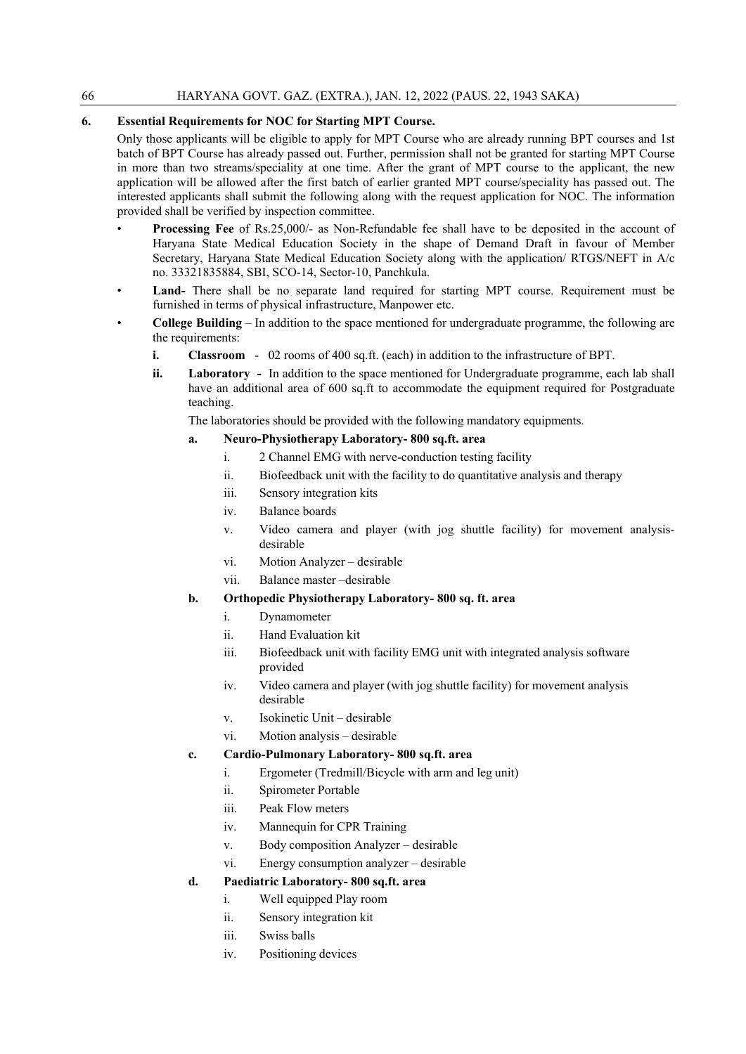#### **6. Essential Requirements for NOC for Starting MPT Course.**

Only those applicants will be eligible to apply for MPT Course who are already running BPT courses and 1st batch of BPT Course has already passed out. Further, permission shall not be granted for starting MPT Course in more than two streams/speciality at one time. After the grant of MPT course to the applicant, the new application will be allowed after the first batch of earlier granted MPT course/speciality has passed out. The interested applicants shall submit the following along with the request application for NOC. The information provided shall be verified by inspection committee.

- **Processing Fee** of Rs.25,000/- as Non-Refundable fee shall have to be deposited in the account of Haryana State Medical Education Society in the shape of Demand Draft in favour of Member Secretary, Haryana State Medical Education Society along with the application/ RTGS/NEFT in A/c no. 33321835884, SBI, SCO-14, Sector-10, Panchkula.
- Land- There shall be no separate land required for starting MPT course. Requirement must be furnished in terms of physical infrastructure, Manpower etc.
- **College Building** In addition to the space mentioned for undergraduate programme, the following are the requirements:
	- **i. Classroom**  02 rooms of 400 sq.ft. (each) in addition to the infrastructure of BPT.
	- **ii. Laboratory** In addition to the space mentioned for Undergraduate programme, each lab shall have an additional area of 600 sq.ft to accommodate the equipment required for Postgraduate teaching.

The laboratories should be provided with the following mandatory equipments.

#### **a. Neuro-Physiotherapy Laboratory- 800 sq.ft. area**

- i. 2 Channel EMG with nerve-conduction testing facility
- ii. Biofeedback unit with the facility to do quantitative analysis and therapy
- iii. Sensory integration kits
- iv. Balance boards
- v. Video camera and player (with jog shuttle facility) for movement analysisdesirable
- vi. Motion Analyzer desirable
- vii. Balance master –desirable

#### **b. Orthopedic Physiotherapy Laboratory- 800 sq. ft. area**

- i. Dynamometer
- ii. Hand Evaluation kit
- iii. Biofeedback unit with facility EMG unit with integrated analysis software provided
- iv. Video camera and player (with jog shuttle facility) for movement analysis desirable
- v. Isokinetic Unit desirable
- vi. Motion analysis desirable

#### **c. Cardio-Pulmonary Laboratory- 800 sq.ft. area**

- i. Ergometer (Tredmill/Bicycle with arm and leg unit)
- ii. Spirometer Portable
- iii. Peak Flow meters
- iv. Mannequin for CPR Training
- v. Body composition Analyzer desirable
- vi. Energy consumption analyzer desirable

#### **d. Paediatric Laboratory- 800 sq.ft. area**

- i. Well equipped Play room
- ii. Sensory integration kit
- iii. Swiss balls
- iv. Positioning devices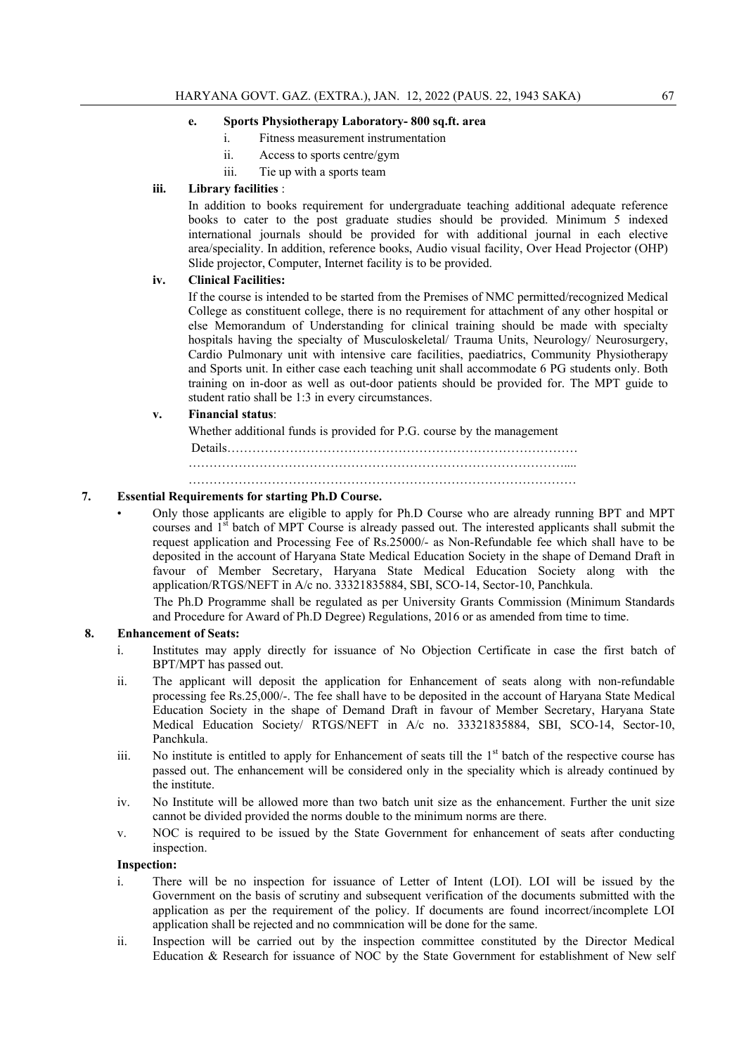#### **e. Sports Physiotherapy Laboratory- 800 sq.ft. area**

- i. Fitness measurement instrumentation
- ii. Access to sports centre/gym
- iii. Tie up with a sports team

#### **iii. Library facilities** :

In addition to books requirement for undergraduate teaching additional adequate reference books to cater to the post graduate studies should be provided. Minimum 5 indexed international journals should be provided for with additional journal in each elective area/speciality. In addition, reference books, Audio visual facility, Over Head Projector (OHP) Slide projector, Computer, Internet facility is to be provided.

#### **iv. Clinical Facilities:**

If the course is intended to be started from the Premises of NMC permitted/recognized Medical College as constituent college, there is no requirement for attachment of any other hospital or else Memorandum of Understanding for clinical training should be made with specialty hospitals having the specialty of Musculoskeletal/ Trauma Units, Neurology/ Neurosurgery, Cardio Pulmonary unit with intensive care facilities, paediatrics, Community Physiotherapy and Sports unit. In either case each teaching unit shall accommodate 6 PG students only. Both training on in-door as well as out-door patients should be provided for. The MPT guide to student ratio shall be 1:3 in every circumstances.

#### **v. Financial status**:

Whether additional funds is provided for P.G. course by the management

 Details………………………………………………………………………… ……………………………………………………………………………….... …………………………………………………………………………………

#### **7. Essential Requirements for starting Ph.D Course.**

• Only those applicants are eligible to apply for Ph.D Course who are already running BPT and MPT courses and 1<sup>st</sup> batch of MPT Course is already passed out. The interested applicants shall submit the request application and Processing Fee of Rs.25000/- as Non-Refundable fee which shall have to be deposited in the account of Haryana State Medical Education Society in the shape of Demand Draft in favour of Member Secretary, Haryana State Medical Education Society along with the application/RTGS/NEFT in A/c no. 33321835884, SBI, SCO-14, Sector-10, Panchkula.

 The Ph.D Programme shall be regulated as per University Grants Commission (Minimum Standards and Procedure for Award of Ph.D Degree) Regulations, 2016 or as amended from time to time.

#### **8. Enhancement of Seats:**

- i. Institutes may apply directly for issuance of No Objection Certificate in case the first batch of BPT/MPT has passed out.
- ii. The applicant will deposit the application for Enhancement of seats along with non-refundable processing fee Rs.25,000/-. The fee shall have to be deposited in the account of Haryana State Medical Education Society in the shape of Demand Draft in favour of Member Secretary, Haryana State Medical Education Society/ RTGS/NEFT in A/c no. 33321835884, SBI, SCO-14, Sector-10, Panchkula.
- iii. No institute is entitled to apply for Enhancement of seats till the 1<sup>st</sup> batch of the respective course has passed out. The enhancement will be considered only in the speciality which is already continued by the institute.
- iv. No Institute will be allowed more than two batch unit size as the enhancement. Further the unit size cannot be divided provided the norms double to the minimum norms are there.
- v. NOC is required to be issued by the State Government for enhancement of seats after conducting inspection.

#### **Inspection:**

- i. There will be no inspection for issuance of Letter of Intent (LOI). LOI will be issued by the Government on the basis of scrutiny and subsequent verification of the documents submitted with the application as per the requirement of the policy. If documents are found incorrect/incomplete LOI application shall be rejected and no commnication will be done for the same.
- ii. Inspection will be carried out by the inspection committee constituted by the Director Medical Education & Research for issuance of NOC by the State Government for establishment of New self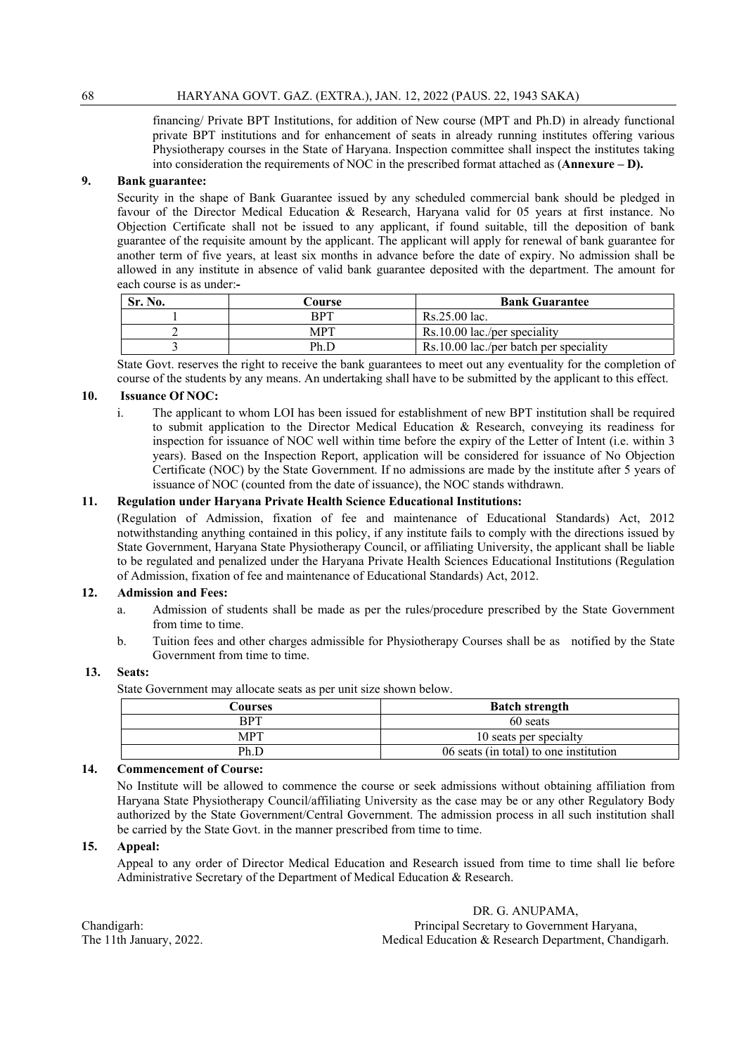financing/ Private BPT Institutions, for addition of New course (MPT and Ph.D) in already functional private BPT institutions and for enhancement of seats in already running institutes offering various Physiotherapy courses in the State of Haryana. Inspection committee shall inspect the institutes taking into consideration the requirements of NOC in the prescribed format attached as (**Annexure – D).** 

#### **9. Bank guarantee:**

Security in the shape of Bank Guarantee issued by any scheduled commercial bank should be pledged in favour of the Director Medical Education & Research, Haryana valid for 05 years at first instance. No Objection Certificate shall not be issued to any applicant, if found suitable, till the deposition of bank guarantee of the requisite amount by the applicant. The applicant will apply for renewal of bank guarantee for another term of five years, at least six months in advance before the date of expiry. No admission shall be allowed in any institute in absence of valid bank guarantee deposited with the department. The amount for each course is as under:**-** 

| Sr. No. | Course     | <b>Bank Guarantee</b>                  |  |  |  |  |  |  |  |  |
|---------|------------|----------------------------------------|--|--|--|--|--|--|--|--|
|         | RPT        | Rs.25.00 lac.                          |  |  |  |  |  |  |  |  |
|         | <b>MPT</b> | $Rs.10.00$ lac./per speciality         |  |  |  |  |  |  |  |  |
|         | Ph.D       | Rs.10.00 lac./per batch per speciality |  |  |  |  |  |  |  |  |

State Govt. reserves the right to receive the bank guarantees to meet out any eventuality for the completion of course of the students by any means. An undertaking shall have to be submitted by the applicant to this effect.

#### **10. Issuance Of NOC:**

i. The applicant to whom LOI has been issued for establishment of new BPT institution shall be required to submit application to the Director Medical Education & Research, conveying its readiness for inspection for issuance of NOC well within time before the expiry of the Letter of Intent (i.e. within 3 years). Based on the Inspection Report, application will be considered for issuance of No Objection Certificate (NOC) by the State Government. If no admissions are made by the institute after 5 years of issuance of NOC (counted from the date of issuance), the NOC stands withdrawn.

#### **11. Regulation under Haryana Private Health Science Educational Institutions:**

(Regulation of Admission, fixation of fee and maintenance of Educational Standards) Act, 2012 notwithstanding anything contained in this policy, if any institute fails to comply with the directions issued by State Government, Haryana State Physiotherapy Council, or affiliating University, the applicant shall be liable to be regulated and penalized under the Haryana Private Health Sciences Educational Institutions (Regulation of Admission, fixation of fee and maintenance of Educational Standards) Act, 2012.

#### **12. Admission and Fees:**

- a. Admission of students shall be made as per the rules/procedure prescribed by the State Government from time to time.
- b. Tuition fees and other charges admissible for Physiotherapy Courses shall be as notified by the State Government from time to time.

#### **13. Seats:**

State Government may allocate seats as per unit size shown below.

| Courses    | <b>Batch strength</b>                  |
|------------|----------------------------------------|
| <b>RPT</b> | 60 seats                               |
| MPT        | 10 seats per specialty                 |
| Ph.D       | 06 seats (in total) to one institution |

#### **14. Commencement of Course:**

No Institute will be allowed to commence the course or seek admissions without obtaining affiliation from Haryana State Physiotherapy Council/affiliating University as the case may be or any other Regulatory Body authorized by the State Government/Central Government. The admission process in all such institution shall be carried by the State Govt. in the manner prescribed from time to time.

#### **15. Appeal:**

Appeal to any order of Director Medical Education and Research issued from time to time shall lie before Administrative Secretary of the Department of Medical Education & Research.

 DR. G. ANUPAMA, Chandigarh: Principal Secretary to Government Haryana, The 11th January, 2022. Medical Education & Research Department, Chandigarh.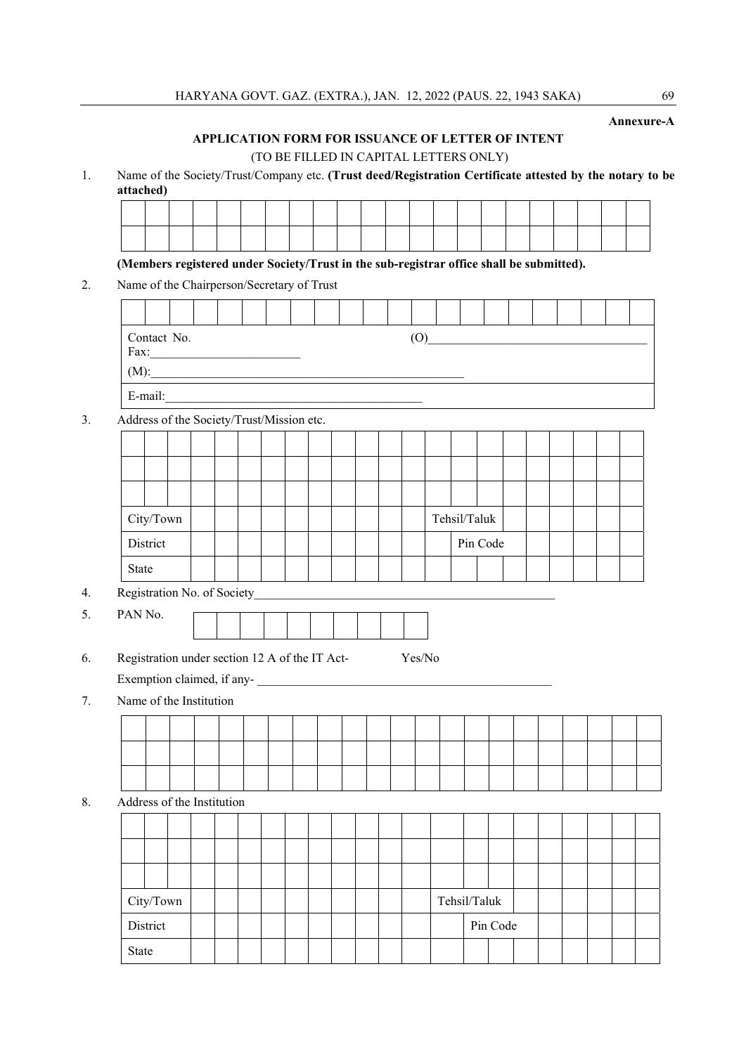**Annexure-A** 

#### **APPLICATION FORM FOR ISSUANCE OF LETTER OF INTENT**

(TO BE FILLED IN CAPITAL LETTERS ONLY)

1. Name of the Society/Trust/Company etc. **(Trust deed/Registration Certificate attested by the notary to be attached)** 

**(Members registered under Society/Trust in the sub-registrar office shall be submitted).** 

2. Name of the Chairperson/Secretary of Trust

| Contact No.<br>Fax:<br>(M): |         |  |  |  |  |  |  |  |  |  |  |  |  |  |  |  |
|-----------------------------|---------|--|--|--|--|--|--|--|--|--|--|--|--|--|--|--|
|                             | E-mail: |  |  |  |  |  |  |  |  |  |  |  |  |  |  |  |

3. Address of the Society/Trust/Mission etc.

| City/Town |          |  |  |  |  |  |  |          | Tehsil/Taluk |  |  |  |  |
|-----------|----------|--|--|--|--|--|--|----------|--------------|--|--|--|--|
|           | District |  |  |  |  |  |  | Pin Code |              |  |  |  |  |
| State     |          |  |  |  |  |  |  |          |              |  |  |  |  |

- 4. Registration No. of Society
- 5. PAN No.
- 6. Registration under section 12 A of the IT Act- Yes/No

Exemption claimed, if any-

7. Name of the Institution

| Address of the Institution |                  |  |  |  |  |  |  |              |          |  |  |  |
|----------------------------|------------------|--|--|--|--|--|--|--------------|----------|--|--|--|
|                            |                  |  |  |  |  |  |  |              |          |  |  |  |
|                            |                  |  |  |  |  |  |  |              |          |  |  |  |
|                            |                  |  |  |  |  |  |  |              |          |  |  |  |
|                            | $\tt City/ Town$ |  |  |  |  |  |  | Tehsil/Taluk |          |  |  |  |
|                            | District         |  |  |  |  |  |  |              | Pin Code |  |  |  |
| State                      |                  |  |  |  |  |  |  |              |          |  |  |  |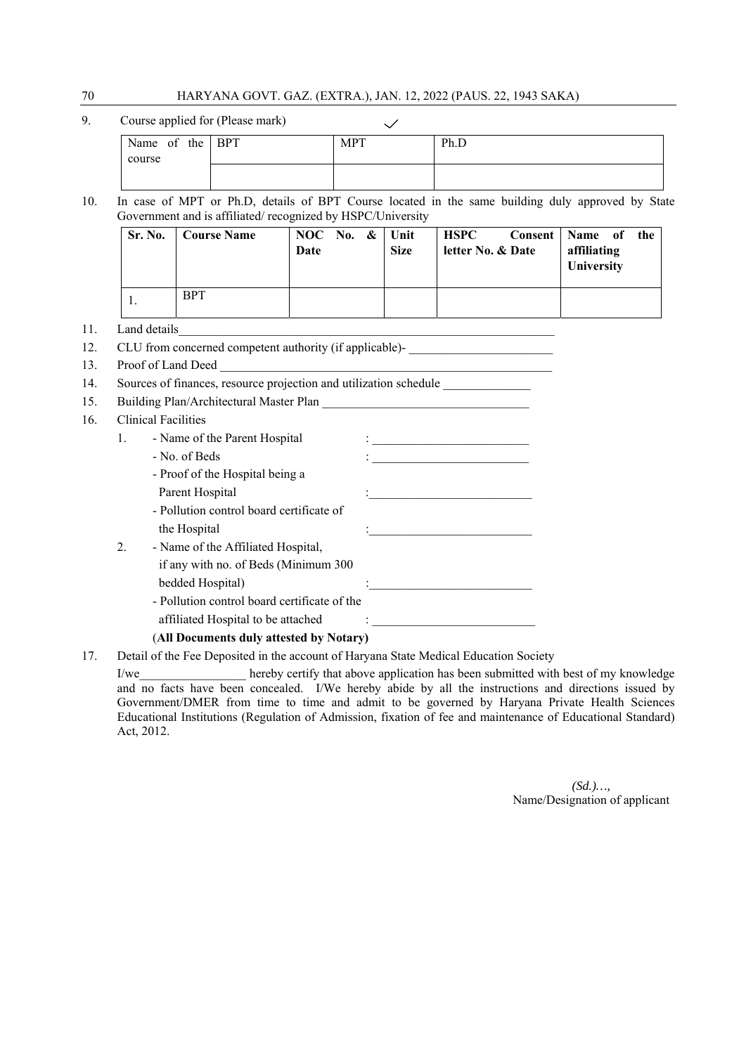# 70 HARYANA GOVT. GAZ. (EXTRA.), JAN. 12, 2022 (PAUS. 22, 1943 SAKA)

| 9. | Course applied for (Please mark) |            |      |
|----|----------------------------------|------------|------|
|    | Name of the BPT                  | <b>MPT</b> | Ph.D |
|    | course                           |            |      |
|    |                                  |            |      |

10. In case of MPT or Ph.D, details of BPT Course located in the same building duly approved by State Government and is affiliated/ recognized by HSPC/University

| Sr. No. | <b>Course Name</b> | NOC No. $\&$ Unit<br>Date | <b>Size</b> | <b>HSPC</b><br>letter No. & Date | Consent   Name of<br>the<br>affiliating<br>University |
|---------|--------------------|---------------------------|-------------|----------------------------------|-------------------------------------------------------|
|         | <b>BPT</b>         |                           |             |                                  |                                                       |

11. Land details

- 12. CLU from concerned competent authority (if applicable)-
- 13. Proof of Land Deed

|  | 14. Sources of finances, resource projection and utilization schedule |  |
|--|-----------------------------------------------------------------------|--|
|  |                                                                       |  |

- 15. Building Plan/Architectural Master Plan
- 16. Clinical Facilities

|    | Chincal Pachines                             |  |
|----|----------------------------------------------|--|
| 1. | - Name of the Parent Hospital                |  |
|    | - No. of Beds                                |  |
|    | - Proof of the Hospital being a              |  |
|    | Parent Hospital                              |  |
|    | - Pollution control board certificate of     |  |
|    | the Hospital                                 |  |
| 2. | - Name of the Affiliated Hospital,           |  |
|    | if any with no. of Beds (Minimum 300)        |  |
|    | bedded Hospital)                             |  |
|    | - Pollution control board certificate of the |  |
|    | affiliated Hospital to be attached           |  |
|    |                                              |  |

#### (**All Documents duly attested by Notary)**

17. Detail of the Fee Deposited in the account of Haryana State Medical Education Society

I/we hereby certify that above application has been submitted with best of my knowledge and no facts have been concealed. I/We hereby abide by all the instructions and directions issued by Government/DMER from time to time and admit to be governed by Haryana Private Health Sciences Educational Institutions (Regulation of Admission, fixation of fee and maintenance of Educational Standard) Act, 2012.

> *(Sd.)…,*  Name/Designation of applicant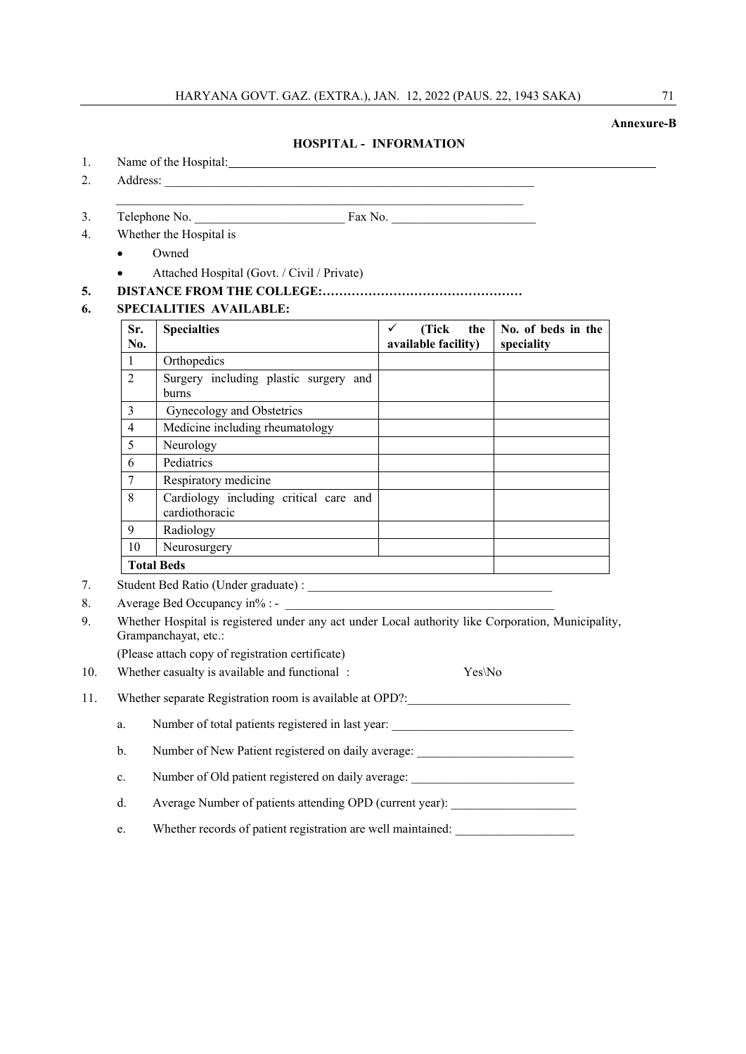#### **Annexure-B**

#### **HOSPITAL - INFORMATION**

- 1. Name of the Hospital: 1. Name of the Hospital:
- 2. Address:

3. Telephone No.  $\qquad \qquad$  Fax No.

- 4. Whether the Hospital is
	- Owned
	- Attached Hospital (Govt. / Civil / Private)
- **5. DISTANCE FROM THE COLLEGE:…………………………………………**

#### **6. SPECIALITIES AVAILABLE:**

| Sr.<br>No.     | <b>Specialties</b>                                       | (Tick)<br>the<br>available facility) | No. of beds in the<br>speciality |
|----------------|----------------------------------------------------------|--------------------------------------|----------------------------------|
| 1              | Orthopedics                                              |                                      |                                  |
| $\mathfrak{D}$ | Surgery including plastic surgery and<br>burns           |                                      |                                  |
| 3              | Gynecology and Obstetrics                                |                                      |                                  |
| 4              | Medicine including rheumatology                          |                                      |                                  |
| 5              | Neurology                                                |                                      |                                  |
| 6              | Pediatrics                                               |                                      |                                  |
| 7              | Respiratory medicine                                     |                                      |                                  |
| 8              | Cardiology including critical care and<br>cardiothoracic |                                      |                                  |
| 9              | Radiology                                                |                                      |                                  |
| 10             | Neurosurgery                                             |                                      |                                  |
|                | <b>Total Beds</b>                                        |                                      |                                  |

- 7. Student Bed Ratio (Under graduate) :
- 8. Average Bed Occupancy in% : -
- 9. Whether Hospital is registered under any act under Local authority like Corporation, Municipality, Grampanchayat, etc.:

(Please attach copy of registration certificate)

| 10. |  | Whether casualty is available and functional: |  | $Yes\No$ |
|-----|--|-----------------------------------------------|--|----------|
|-----|--|-----------------------------------------------|--|----------|

11. Whether separate Registration room is available at OPD?:

|  | Number of total patients registered in last year: |  |  |  |  |
|--|---------------------------------------------------|--|--|--|--|
|--|---------------------------------------------------|--|--|--|--|

- b. Number of New Patient registered on daily average:
- c. Number of Old patient registered on daily average: \_\_\_\_\_\_\_\_\_\_\_\_\_\_\_\_\_\_\_\_\_\_\_\_\_\_

d. Average Number of patients attending OPD (current year):

e. Whether records of patient registration are well maintained: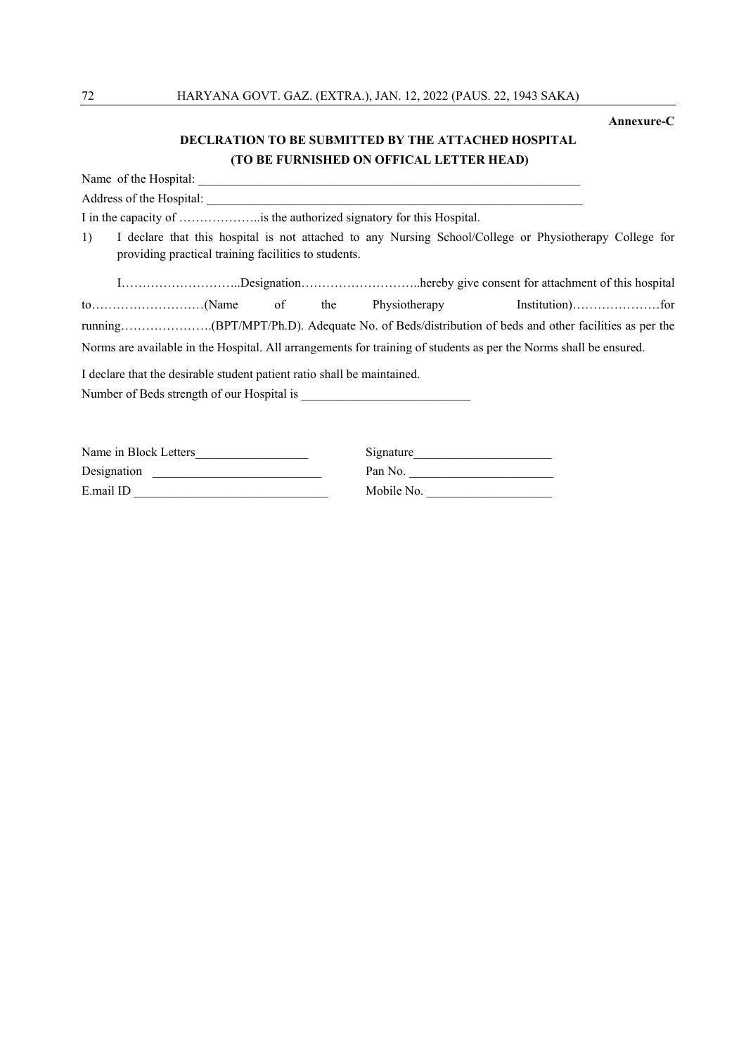#### **Annexure-C**

#### **DECLRATION TO BE SUBMITTED BY THE ATTACHED HOSPITAL (TO BE FURNISHED ON OFFICAL LETTER HEAD)**

Name of the Hospital: Address of the Hospital: I in the capacity of ………………..is the authorized signatory for this Hospital. 1) I declare that this hospital is not attached to any Nursing School/College or Physiotherapy College for providing practical training facilities to students. I………………………..Designation………………………..hereby give consent for attachment of this hospital to………………………(Name of the Physiotherapy Institution)…………………for running………………….(BPT/MPT/Ph.D). Adequate No. of Beds/distribution of beds and other facilities as per the Norms are available in the Hospital. All arrangements for training of students as per the Norms shall be ensured. I declare that the desirable student patient ratio shall be maintained. Number of Beds strength of our Hospital is

| Name in Block Letters | Signature  |
|-----------------------|------------|
| Designation           | Pan No.    |
| E.mail ID             | Mobile No. |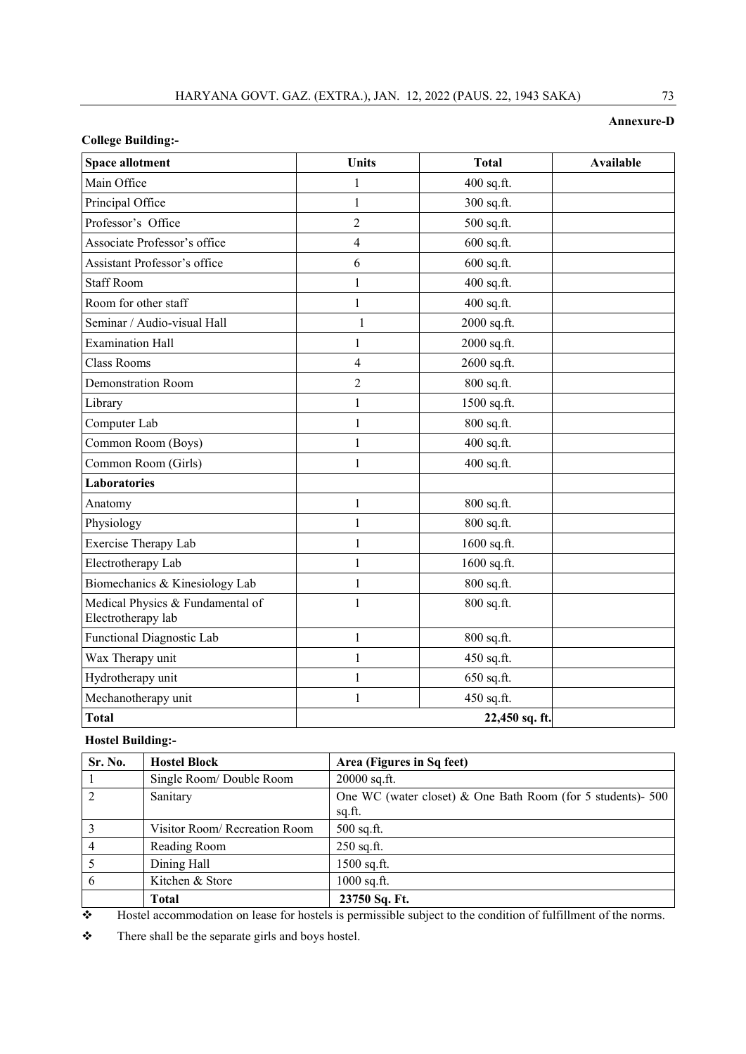#### **Annexure-D**

#### **College Building:-**

| <b>Space allotment</b>                                 | <b>Units</b>   | <b>Total</b>   | <b>Available</b> |
|--------------------------------------------------------|----------------|----------------|------------------|
| Main Office                                            | 1              | 400 sq.ft.     |                  |
| Principal Office                                       | $\mathbf{1}$   | 300 sq.ft.     |                  |
| Professor's Office                                     | $\overline{c}$ | 500 sq.ft.     |                  |
| Associate Professor's office                           | $\overline{4}$ | 600 sq.ft.     |                  |
| Assistant Professor's office                           | 6              | $600$ sq.ft.   |                  |
| <b>Staff Room</b>                                      | $\mathbf{1}$   | 400 sq.ft.     |                  |
| Room for other staff                                   | $\mathbf{1}$   | 400 sq.ft.     |                  |
| Seminar / Audio-visual Hall                            | 1              | 2000 sq.ft.    |                  |
| <b>Examination Hall</b>                                | 1              | 2000 sq.ft.    |                  |
| <b>Class Rooms</b>                                     | 4              | 2600 sq.ft.    |                  |
| Demonstration Room                                     | $\overline{2}$ | 800 sq.ft.     |                  |
| Library                                                | 1              | 1500 sq.ft.    |                  |
| Computer Lab                                           | 1              | 800 sq.ft.     |                  |
| Common Room (Boys)                                     | 1              | 400 sq.ft.     |                  |
| Common Room (Girls)                                    | 1              | 400 sq.ft.     |                  |
| <b>Laboratories</b>                                    |                |                |                  |
| Anatomy                                                | $\mathbf{1}$   | 800 sq.ft.     |                  |
| Physiology                                             | $\mathbf{1}$   | 800 sq.ft.     |                  |
| <b>Exercise Therapy Lab</b>                            | $\mathbf{1}$   | 1600 sq.ft.    |                  |
| Electrotherapy Lab                                     | 1              | 1600 sq.ft.    |                  |
| Biomechanics & Kinesiology Lab                         | $\mathbf{1}$   | 800 sq.ft.     |                  |
| Medical Physics & Fundamental of<br>Electrotherapy lab | 1              | 800 sq.ft.     |                  |
| Functional Diagnostic Lab                              | 1              | 800 sq.ft.     |                  |
| Wax Therapy unit                                       | 1              | 450 sq.ft.     |                  |
| Hydrotherapy unit                                      | 1              | 650 sq.ft.     |                  |
| Mechanotherapy unit                                    | 1              | 450 sq.ft.     |                  |
| <b>Total</b>                                           |                | 22,450 sq. ft. |                  |

#### **Hostel Building:-**

| Sr. No.        | <b>Hostel Block</b>           | Area (Figures in Sq feet)                                   |
|----------------|-------------------------------|-------------------------------------------------------------|
|                | Single Room/ Double Room      | 20000 sq.ft.                                                |
|                | Sanitary                      | One WC (water closet) & One Bath Room (for 5 students)- 500 |
|                |                               | sq.ft.                                                      |
|                | Visitor Room/ Recreation Room | $500$ sq.ft.                                                |
| $\overline{4}$ | Reading Room                  | $250$ sq.ft.                                                |
|                | Dining Hall                   | 1500 sq.ft.                                                 |
| 6              | Kitchen & Store               | $1000$ sq.ft.                                               |
|                | <b>Total</b>                  | 23750 Sq. Ft.                                               |

Hostel accommodation on lease for hostels is permissible subject to the condition of fulfillment of the norms.

\* There shall be the separate girls and boys hostel.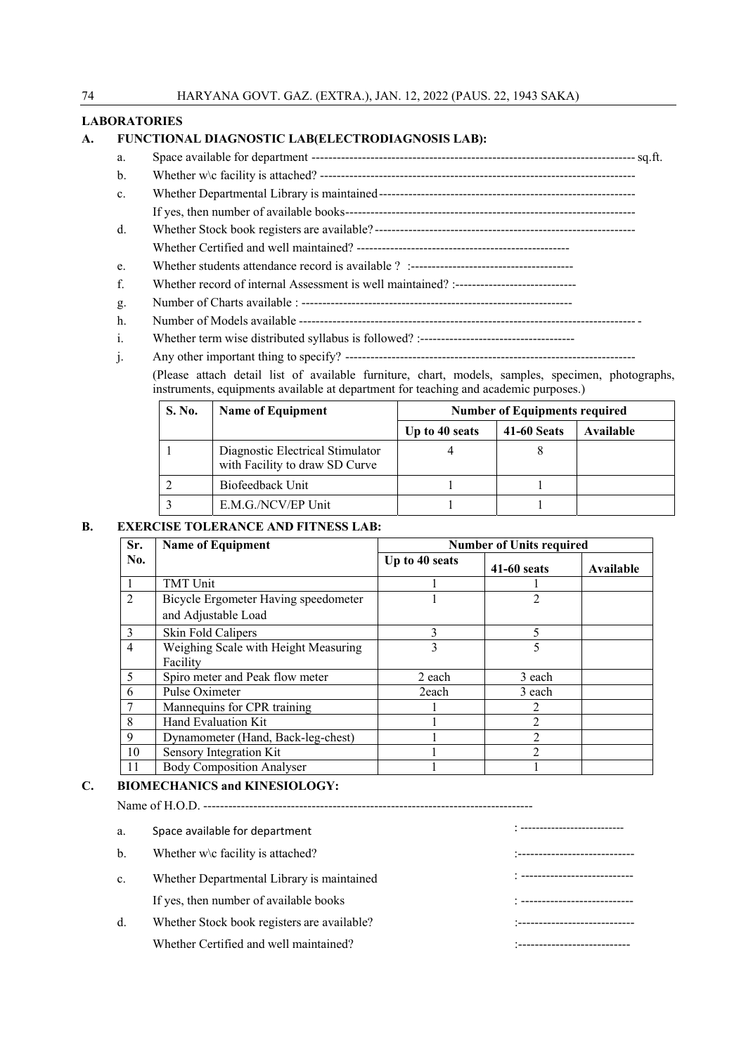#### **LABORATORIES**

#### **A. FUNCTIONAL DIAGNOSTIC LAB(ELECTRODIAGNOSIS LAB):**

- a. Space available for department ----------------------------------------------------------------------------- sq.ft.
- b. Whether w\c facility is attached? ---------------------------------------------------------------------------
- c. Whether Departmental Library is maintained ------------------------------------------------------------- If yes, then number of available books ---------------------------------------------------------------------
- d. Whether Stock book registers are available? --------------------------------------------------------------
- Whether Certified and well maintained? ---------------------------------------------------
- e. Whether students attendance record is available ? :---------------------------------------
- f. Whether record of internal Assessment is well maintained? :-----------------------------
- g. Number of Charts available : -----------------------------------------------------------------
- h. Number of Models available -------------------------------------------------------------------------------- -
- i. Whether term wise distributed syllabus is followed? :-------------------------------------
- j. Any other important thing to specify? ---------------------------------------------------------------------

(Please attach detail list of available furniture, chart, models, samples, specimen, photographs, instruments, equipments available at department for teaching and academic purposes.)

| <b>S. No.</b> | <b>Name of Equipment</b>                                           | <b>Number of Equipments required</b> |                    |           |  |  |
|---------------|--------------------------------------------------------------------|--------------------------------------|--------------------|-----------|--|--|
|               |                                                                    | Up to 40 seats                       | <b>41-60 Seats</b> | Available |  |  |
|               | Diagnostic Electrical Stimulator<br>with Facility to draw SD Curve |                                      |                    |           |  |  |
|               | Biofeedback Unit                                                   |                                      |                    |           |  |  |
|               | E.M.G./NCV/EP Unit                                                 |                                      |                    |           |  |  |

#### **B. EXERCISE TOLERANCE AND FITNESS LAB:**

| Sr.            | <b>Name of Equipment</b>             | <b>Number of Units required</b> |                |           |
|----------------|--------------------------------------|---------------------------------|----------------|-----------|
| No.            |                                      | Up to 40 seats                  | $41-60$ seats  | Available |
|                | <b>TMT</b> Unit                      |                                 |                |           |
| $\overline{2}$ | Bicycle Ergometer Having speedometer |                                 |                |           |
|                | and Adjustable Load                  |                                 |                |           |
| $\mathcal{E}$  | Skin Fold Calipers                   | 3                               | 5              |           |
| 4              | Weighing Scale with Height Measuring | 3                               | 5              |           |
|                | Facility                             |                                 |                |           |
| 5              | Spiro meter and Peak flow meter      | 2 each                          | 3 each         |           |
| 6              | Pulse Oximeter                       | 2each                           | 3 each         |           |
|                | Mannequins for CPR training          |                                 |                |           |
| 8              | Hand Evaluation Kit                  |                                 | $\mathfrak{D}$ |           |
| 9              | Dynamometer (Hand, Back-leg-chest)   |                                 | $\mathfrak{D}$ |           |
| 10             | Sensory Integration Kit              |                                 | $\mathcal{D}$  |           |
| 11             | <b>Body Composition Analyser</b>     |                                 |                |           |

#### **C. BIOMECHANICS and KINESIOLOGY:**

Name of H.O.D. -------------------------------------------------------------------------------

| a.            | Space available for department              |                             |
|---------------|---------------------------------------------|-----------------------------|
| $\mathbf b$ . | Whether $w \cdot c$ facility is attached?   | ---------------------       |
| c.            | Whether Departmental Library is maintained  | --------------------------- |
|               | If yes, then number of available books      |                             |
| d.            | Whether Stock book registers are available? |                             |
|               | Whether Certified and well maintained?      |                             |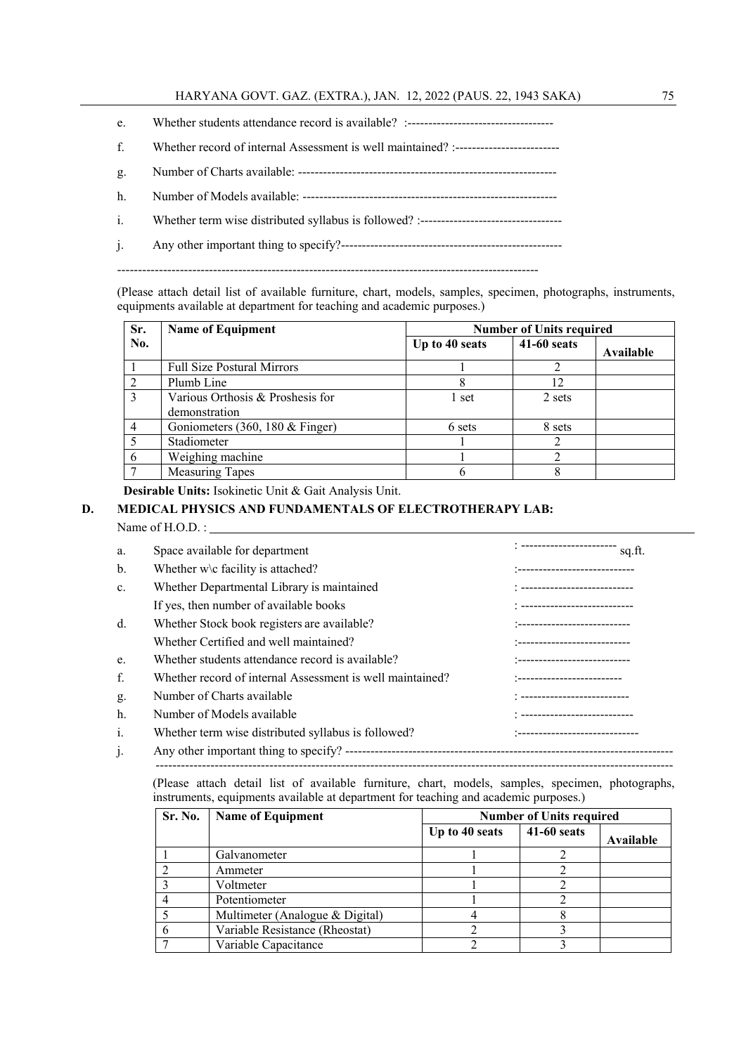- e. Whether students attendance record is available? :-----------------------------------
- f. Whether record of internal Assessment is well maintained? :-------------------------
- g. Number of Charts available: --------------------------------------------------------------
- h. Number of Models available: -------------------------------------------------------------
- i. Whether term wise distributed syllabus is followed? :----------------------------------
- j. Any other important thing to specify?-----------------------------------------------------

-----------------------------------------------------------------------------------------------------

(Please attach detail list of available furniture, chart, models, samples, specimen, photographs, instruments, equipments available at department for teaching and academic purposes.)

| Sr. | <b>Name of Equipment</b>                          | <b>Number of Units required</b> |               |           |
|-----|---------------------------------------------------|---------------------------------|---------------|-----------|
| No. |                                                   | Up to 40 seats                  | $41-60$ seats | Available |
|     | <b>Full Size Postural Mirrors</b>                 |                                 |               |           |
|     | Plumb Line                                        | 8                               | 12            |           |
|     | Various Orthosis & Proshesis for<br>demonstration | 1 set                           | 2 sets        |           |
|     | Goniometers $(360, 180 \&$ Finger)                | 6 sets                          | 8 sets        |           |
|     | Stadiometer                                       |                                 |               |           |
|     | Weighing machine                                  |                                 |               |           |
|     | <b>Measuring Tapes</b>                            |                                 |               |           |

 **Desirable Units:** Isokinetic Unit & Gait Analysis Unit.

#### **D. MEDICAL PHYSICS AND FUNDAMENTALS OF ELECTROTHERAPY LAB:**

Name of H.O.D. :

| a.             | Space available for department                            | sq.ft.                             |
|----------------|-----------------------------------------------------------|------------------------------------|
| b.             | Whether $w \ c$ facility is attached?                     | :---------------------------       |
| $\mathbf{c}$ . | Whether Departmental Library is maintained                | : ---------------------------      |
|                | If yes, then number of available books                    | : ---------------------------      |
| $d_{\cdot}$    | Whether Stock book registers are available?               | :---------------------------       |
|                | Whether Certified and well maintained?                    | *-----------------------------     |
| e.             | Whether students attendance record is available?          | :---------------------------       |
| f.             | Whether record of internal Assessment is well maintained? | --------------------------         |
| g.             | Number of Charts available                                |                                    |
| h.             | Number of Models available                                |                                    |
| i.             | Whether term wise distributed syllabus is followed?       | . ________________________________ |
| $\mathbf{1}$ . |                                                           |                                    |

(Please attach detail list of available furniture, chart, models, samples, specimen, photographs, instruments, equipments available at department for teaching and academic purposes.)

 $-$ 

| Sr. No. | <b>Name of Equipment</b>        |                | <b>Number of Units required</b> |           |  |
|---------|---------------------------------|----------------|---------------------------------|-----------|--|
|         |                                 | Up to 40 seats | 41-60 seats                     | Available |  |
|         | Galvanometer                    |                |                                 |           |  |
|         | Ammeter                         |                |                                 |           |  |
|         | Voltmeter                       |                |                                 |           |  |
|         | Potentiometer                   |                |                                 |           |  |
|         | Multimeter (Analogue & Digital) |                |                                 |           |  |
|         | Variable Resistance (Rheostat)  |                |                                 |           |  |
|         | Variable Capacitance            |                |                                 |           |  |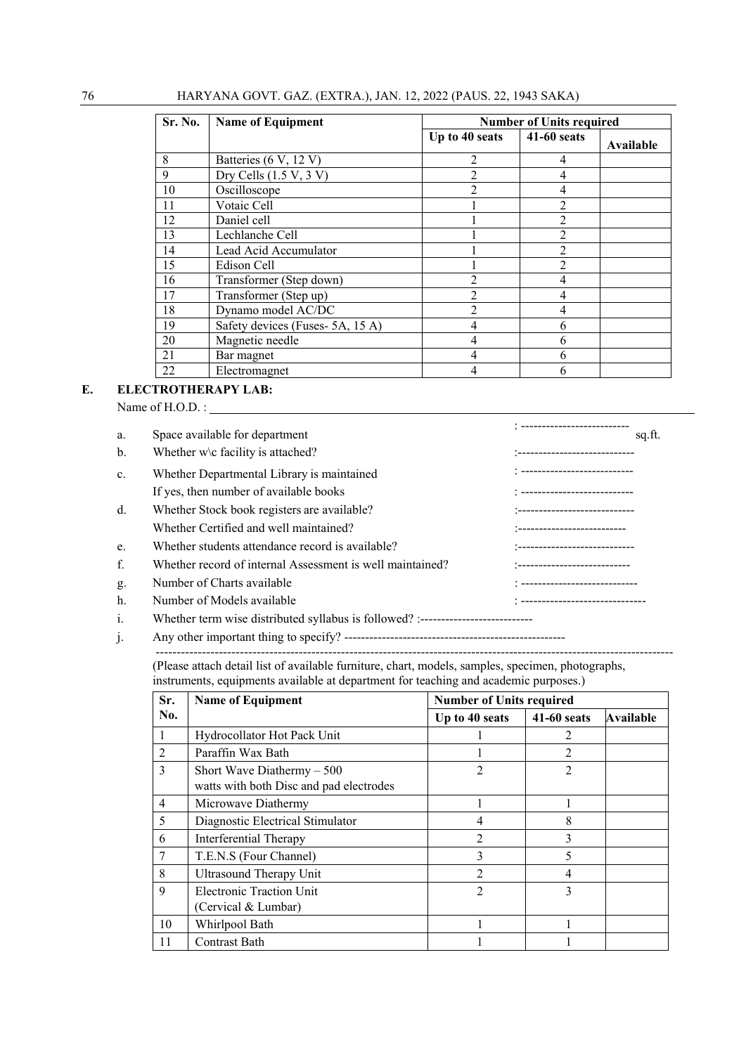| <b>Sr. No.</b> | <b>Name of Equipment</b>       |                | <b>Number of Units required</b> |           |
|----------------|--------------------------------|----------------|---------------------------------|-----------|
|                |                                | Up to 40 seats | 41-60 seats                     | Available |
| 8              | Batteries (6 V, 12 V)          | 2              | 4                               |           |
| 9              | Dry Cells $(1.5 V, 3 V)$       | $\overline{c}$ |                                 |           |
| 10             | Oscilloscope                   | $\mathfrak{D}$ | 4                               |           |
| 11             | Votaic Cell                    |                | $\mathfrak{D}$                  |           |
| 12             | Daniel cell                    |                | $\mathfrak{D}$                  |           |
| 13             | Lechlanche Cell                |                | 2                               |           |
| 14             | Lead Acid Accumulator          |                |                                 |           |
| 15             | Edison Cell                    |                | $\mathfrak{D}$                  |           |
| 16             | Transformer (Step down)        | 2              | 4                               |           |
| 17             | Transformer (Step up)          | $\overline{c}$ |                                 |           |
| 18             | Dynamo model AC/DC             | $\overline{2}$ |                                 |           |
| 19             | Safety devices (Fuses-5A, 15A) | 4              | 6                               |           |
| 20             | Magnetic needle                | 4              | h                               |           |
| 21             | Bar magnet                     | 4              |                                 |           |
| 22             | Electromagnet                  | 4              |                                 |           |

#### **E. ELECTROTHERAPY LAB:**

Name of H.O.D. :

| a.<br>b.       | Space available for department<br>Whether w\c facility is attached? | . <u>-------------------------</u><br>sq.ft.<br>:---------------------------- |
|----------------|---------------------------------------------------------------------|-------------------------------------------------------------------------------|
| $\mathbf{c}$ . | Whether Departmental Library is maintained                          |                                                                               |
|                | If yes, then number of available books                              | : ---------------------------                                                 |
| $d_{\cdot}$    | Whether Stock book registers are available?                         | :----------------------------                                                 |
|                | Whether Certified and well maintained?                              | :-------------------------                                                    |
| e.             | Whether students attendance record is available?                    | '------------------------------                                               |
| f.             | Whether record of internal Assessment is well maintained?           | -----------------------------                                                 |
| g.             | Number of Charts available                                          |                                                                               |
| h.             | Number of Models available                                          | : ------------------------------                                              |
| i.             |                                                                     |                                                                               |

#### j. Any other important thing to specify? ----------------------------------------------------- ---------------------------------------------------------------------------------------------------------------------------

(Please attach detail list of available furniture, chart, models, samples, specimen, photographs, instruments, equipments available at department for teaching and academic purposes.)

| Sr.            | <b>Name of Equipment</b>                                               |                | <b>Number of Units required</b> |                  |  |
|----------------|------------------------------------------------------------------------|----------------|---------------------------------|------------------|--|
| No.            |                                                                        | Up to 40 seats | <b>41-60 seats</b>              | <b>Available</b> |  |
| 1              | Hydrocollator Hot Pack Unit                                            |                |                                 |                  |  |
| $\overline{2}$ | Paraffin Wax Bath                                                      |                | $\mathfrak{D}$                  |                  |  |
| 3              | Short Wave Diathermy $-500$<br>watts with both Disc and pad electrodes | 2              | $\overline{c}$                  |                  |  |
| $\overline{4}$ | Microwave Diathermy                                                    |                |                                 |                  |  |
| 5              | Diagnostic Electrical Stimulator                                       | 4              | 8                               |                  |  |
| 6              | Interferential Therapy                                                 | 2              | 3                               |                  |  |
| 7              | T.E.N.S (Four Channel)                                                 | 3              | 5                               |                  |  |
| 8              | Ultrasound Therapy Unit                                                | 2              | 4                               |                  |  |
| 9              | <b>Electronic Traction Unit</b><br>(Cervical & Lumbar)                 | $\overline{2}$ | 3                               |                  |  |
| 10             | Whirlpool Bath                                                         |                |                                 |                  |  |
| 11             | Contrast Bath                                                          |                |                                 |                  |  |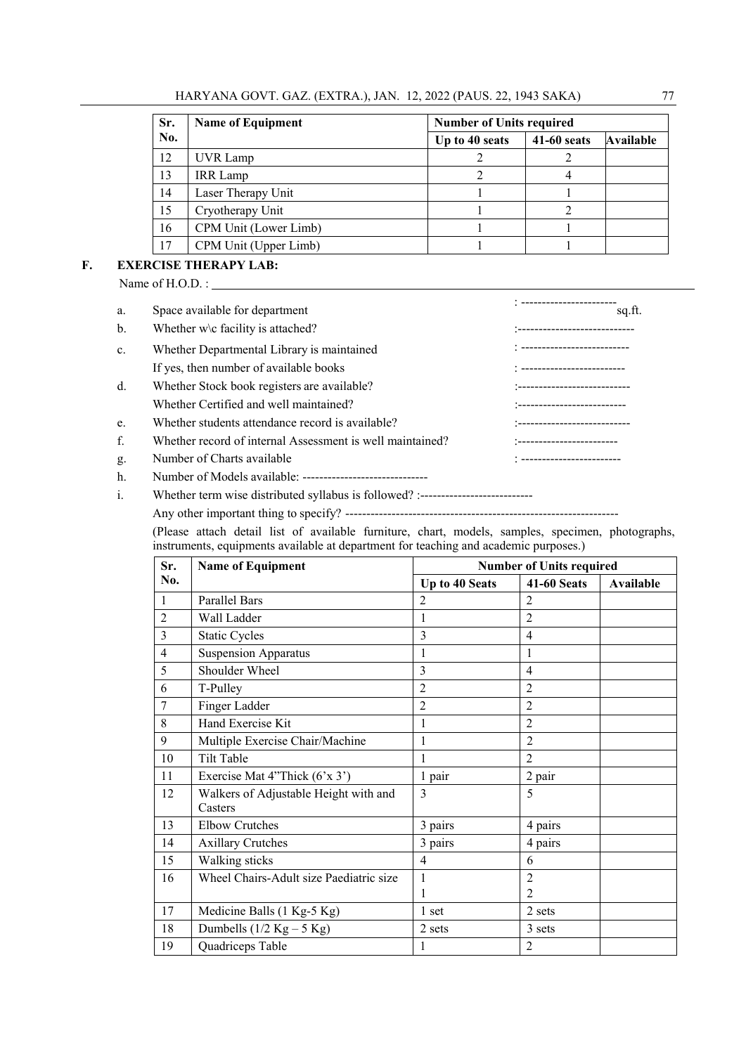HARYANA GOVT. GAZ. (EXTRA.), JAN. 12, 2022 (PAUS. 22, 1943 SAKA) 77

| Sr. | <b>Name of Equipment</b> |                | <b>Number of Units required</b> |           |  |
|-----|--------------------------|----------------|---------------------------------|-----------|--|
| No. |                          | Up to 40 seats | <b>41-60 seats</b>              | Available |  |
| 12  | UVR Lamp                 |                |                                 |           |  |
| 13  | <b>IRR</b> Lamp          |                |                                 |           |  |
| 14  | Laser Therapy Unit       |                |                                 |           |  |
| 15  | Cryotherapy Unit         |                |                                 |           |  |
| 16  | CPM Unit (Lower Limb)    |                |                                 |           |  |
| 17  | CPM Unit (Upper Limb)    |                |                                 |           |  |

#### **F. EXERCISE THERAPY LAB:**

Name of H.O.D. :

| a.             | Space available for department                                                   | ----------------------<br>sq.ft. |
|----------------|----------------------------------------------------------------------------------|----------------------------------|
| b.             | Whether $w \cdot c$ facility is attached?                                        | :----------------------------    |
| $\mathbf{c}$ . | Whether Departmental Library is maintained                                       | : --------------------------     |
|                | If yes, then number of available books                                           | : --------------------------     |
| d.             | Whether Stock book registers are available?                                      | -----------------------------    |
|                | Whether Certified and well maintained?                                           | :--------------------------      |
| e.             | Whether students attendance record is available?                                 | :---------------------------     |
| f.             | Whether record of internal Assessment is well maintained?                        | *--------------------------      |
| g.             | Number of Charts available                                                       | : -------------------------      |
| h.             |                                                                                  |                                  |
| i.             | Whether term wise distributed syllabus is followed? :--------------------------- |                                  |
|                |                                                                                  |                                  |

Any other important thing to specify? -----------------------------------------------------------------

 (Please attach detail list of available furniture, chart, models, samples, specimen, photographs, instruments, equipments available at department for teaching and academic purposes.)

| Sr.            | <b>Name of Equipment</b>                         | <b>Number of Units required</b> |                    |           |
|----------------|--------------------------------------------------|---------------------------------|--------------------|-----------|
| No.            |                                                  | Up to 40 Seats                  | <b>41-60 Seats</b> | Available |
| 1              | <b>Parallel Bars</b>                             | $\mathfrak{D}$                  | $\overline{c}$     |           |
| $\overline{2}$ | Wall Ladder                                      | 1                               | $\overline{2}$     |           |
| 3              | <b>Static Cycles</b>                             | 3                               | $\overline{4}$     |           |
| $\overline{4}$ | <b>Suspension Apparatus</b>                      | 1                               | 1                  |           |
| 5              | Shoulder Wheel                                   | 3                               | $\overline{4}$     |           |
| 6              | T-Pulley                                         | $\overline{2}$                  | $\overline{2}$     |           |
| 7              | Finger Ladder                                    | $\overline{2}$                  | $\overline{2}$     |           |
| 8              | Hand Exercise Kit                                | 1                               | $\overline{2}$     |           |
| 9              | Multiple Exercise Chair/Machine                  | 1                               | $\overline{2}$     |           |
| 10             | Tilt Table                                       | 1                               | $\overline{2}$     |           |
| 11             | Exercise Mat 4"Thick $(6'x 3')$                  | 1 pair                          | 2 pair             |           |
| 12             | Walkers of Adjustable Height with and<br>Casters | 3                               | 5                  |           |
| 13             | <b>Elbow Crutches</b>                            | 3 pairs                         | 4 pairs            |           |
| 14             | <b>Axillary Crutches</b>                         | 3 pairs                         | 4 pairs            |           |
| 15             | Walking sticks                                   | $\overline{4}$                  | 6                  |           |
| 16             | Wheel Chairs-Adult size Paediatric size          | 1                               | $\overline{c}$     |           |
|                |                                                  | 1                               | $\mathfrak{D}$     |           |
| 17             | Medicine Balls (1 Kg-5 Kg)                       | 1 set                           | 2 sets             |           |
| 18             | Dumbells $(1/2$ Kg – 5 Kg)                       | 2 sets                          | 3 sets             |           |
| 19             | Quadriceps Table                                 | 1                               | $\overline{2}$     |           |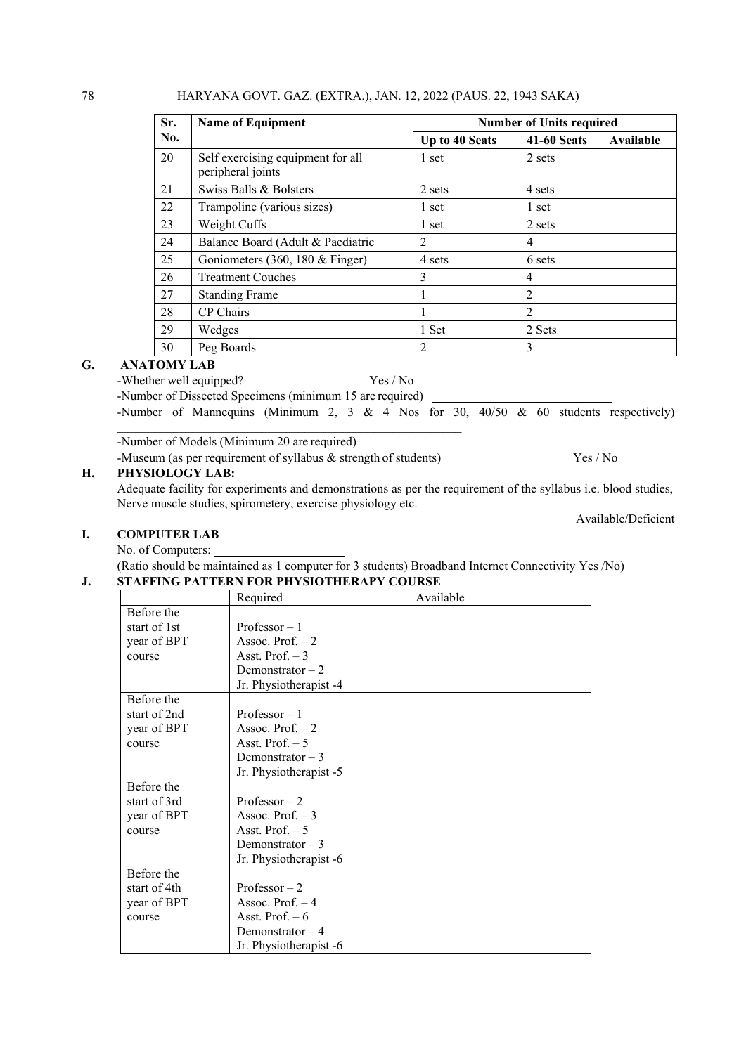| Sr. | <b>Name of Equipment</b>                               | <b>Number of Units required</b> |                    |           |
|-----|--------------------------------------------------------|---------------------------------|--------------------|-----------|
| No. |                                                        | Up to 40 Seats                  | <b>41-60 Seats</b> | Available |
| 20  | Self exercising equipment for all<br>peripheral joints | 1 set                           | 2 sets             |           |
| 21  | Swiss Balls & Bolsters                                 | 2 sets                          | 4 sets             |           |
| 22  | Trampoline (various sizes)                             | 1 set                           | 1 set              |           |
| 23  | Weight Cuffs                                           | 1 set                           | 2 sets             |           |
| 24  | Balance Board (Adult & Paediatric                      | 2                               | 4                  |           |
| 25  | Goniometers (360, 180 & Finger)                        | 4 sets                          | 6 sets             |           |
| 26  | <b>Treatment Couches</b>                               | 3                               | 4                  |           |
| 27  | <b>Standing Frame</b>                                  |                                 | $\overline{2}$     |           |
| 28  | CP Chairs                                              |                                 | 2                  |           |
| 29  | Wedges                                                 | 1 Set                           | 2 Sets             |           |
| 30  | Peg Boards                                             | $\overline{2}$                  | 3                  |           |

#### **G. ANATOMY LAB**

-Whether well equipped? Yes / No

-Number of Dissected Specimens (minimum 15 are required)

-Number of Mannequins (Minimum 2, 3 & 4 Nos for 30, 40/50 & 60 students respectively)

-Number of Models (Minimum 20 are required)

-Museum (as per requirement of syllabus & strength of students) Yes / No

### **H. PHYSIOLOGY LAB:**

Adequate facility for experiments and demonstrations as per the requirement of the syllabus i.e. blood studies, Nerve muscle studies, spirometery, exercise physiology etc.

Available/Deficient

#### **I. COMPUTER LAB**

No. of Computers:

(Ratio should be maintained as 1 computer for 3 students) Broadband Internet Connectivity Yes /No) **J. STAFFING PATTERN FOR PHYSIOTHERAPY COURSE** 

|              | Required               | Available |
|--------------|------------------------|-----------|
| Before the   |                        |           |
| start of 1st | Professor $-1$         |           |
| year of BPT  | Assoc. Prof. $-2$      |           |
| course       | Asst. Prof. $-3$       |           |
|              | Demonstrator $-2$      |           |
|              | Jr. Physiotherapist -4 |           |
| Before the   |                        |           |
| start of 2nd | Professor $-1$         |           |
| year of BPT  | Assoc. Prof. $-2$      |           |
| course       | Asst. Prof. $-5$       |           |
|              | Demonstrator $-3$      |           |
|              | Jr. Physiotherapist -5 |           |
| Before the   |                        |           |
| start of 3rd | Professor $-2$         |           |
| year of BPT  | Assoc. Prof. $-3$      |           |
| course       | Asst. Prof. $-5$       |           |
|              | Demonstrator $-3$      |           |
|              | Jr. Physiotherapist -6 |           |
| Before the   |                        |           |
| start of 4th | Professor $-2$         |           |
| year of BPT  | Assoc. Prof. $-4$      |           |
| course       | Asst. Prof. $-6$       |           |
|              | Demonstrator $-4$      |           |
|              | Jr. Physiotherapist -6 |           |